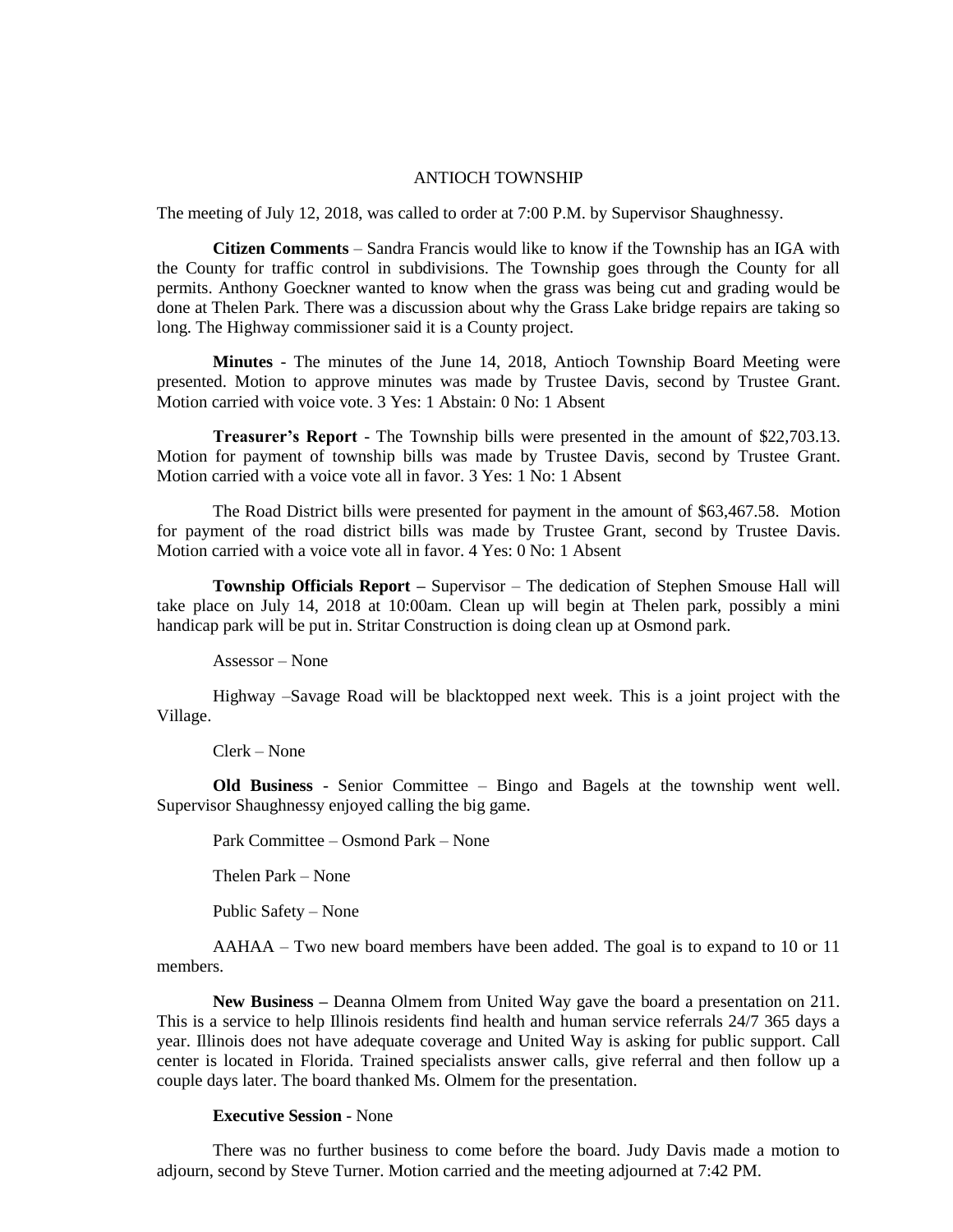## ANTIOCH TOWNSHIP

The meeting of July 12, 2018, was called to order at 7:00 P.M. by Supervisor Shaughnessy.

**Citizen Comments** – Sandra Francis would like to know if the Township has an IGA with the County for traffic control in subdivisions. The Township goes through the County for all permits. Anthony Goeckner wanted to know when the grass was being cut and grading would be done at Thelen Park. There was a discussion about why the Grass Lake bridge repairs are taking so long. The Highway commissioner said it is a County project.

**Minutes** - The minutes of the June 14, 2018, Antioch Township Board Meeting were presented. Motion to approve minutes was made by Trustee Davis, second by Trustee Grant. Motion carried with voice vote. 3 Yes: 1 Abstain: 0 No: 1 Absent

**Treasurer's Report** - The Township bills were presented in the amount of \$22,703.13. Motion for payment of township bills was made by Trustee Davis, second by Trustee Grant. Motion carried with a voice vote all in favor. 3 Yes: 1 No: 1 Absent

The Road District bills were presented for payment in the amount of \$63,467.58. Motion for payment of the road district bills was made by Trustee Grant, second by Trustee Davis. Motion carried with a voice vote all in favor. 4 Yes: 0 No: 1 Absent

**Township Officials Report –** Supervisor – The dedication of Stephen Smouse Hall will take place on July 14, 2018 at 10:00am. Clean up will begin at Thelen park, possibly a mini handicap park will be put in. Stritar Construction is doing clean up at Osmond park.

Assessor – None

Highway –Savage Road will be blacktopped next week. This is a joint project with the Village.

Clerk – None

**Old Business** - Senior Committee – Bingo and Bagels at the township went well. Supervisor Shaughnessy enjoyed calling the big game.

Park Committee – Osmond Park – None

Thelen Park – None

Public Safety – None

AAHAA – Two new board members have been added. The goal is to expand to 10 or 11 members.

**New Business –** Deanna Olmem from United Way gave the board a presentation on 211. This is a service to help Illinois residents find health and human service referrals 24/7 365 days a year. Illinois does not have adequate coverage and United Way is asking for public support. Call center is located in Florida. Trained specialists answer calls, give referral and then follow up a couple days later. The board thanked Ms. Olmem for the presentation.

## **Executive Session** - None

There was no further business to come before the board. Judy Davis made a motion to adjourn, second by Steve Turner. Motion carried and the meeting adjourned at 7:42 PM.